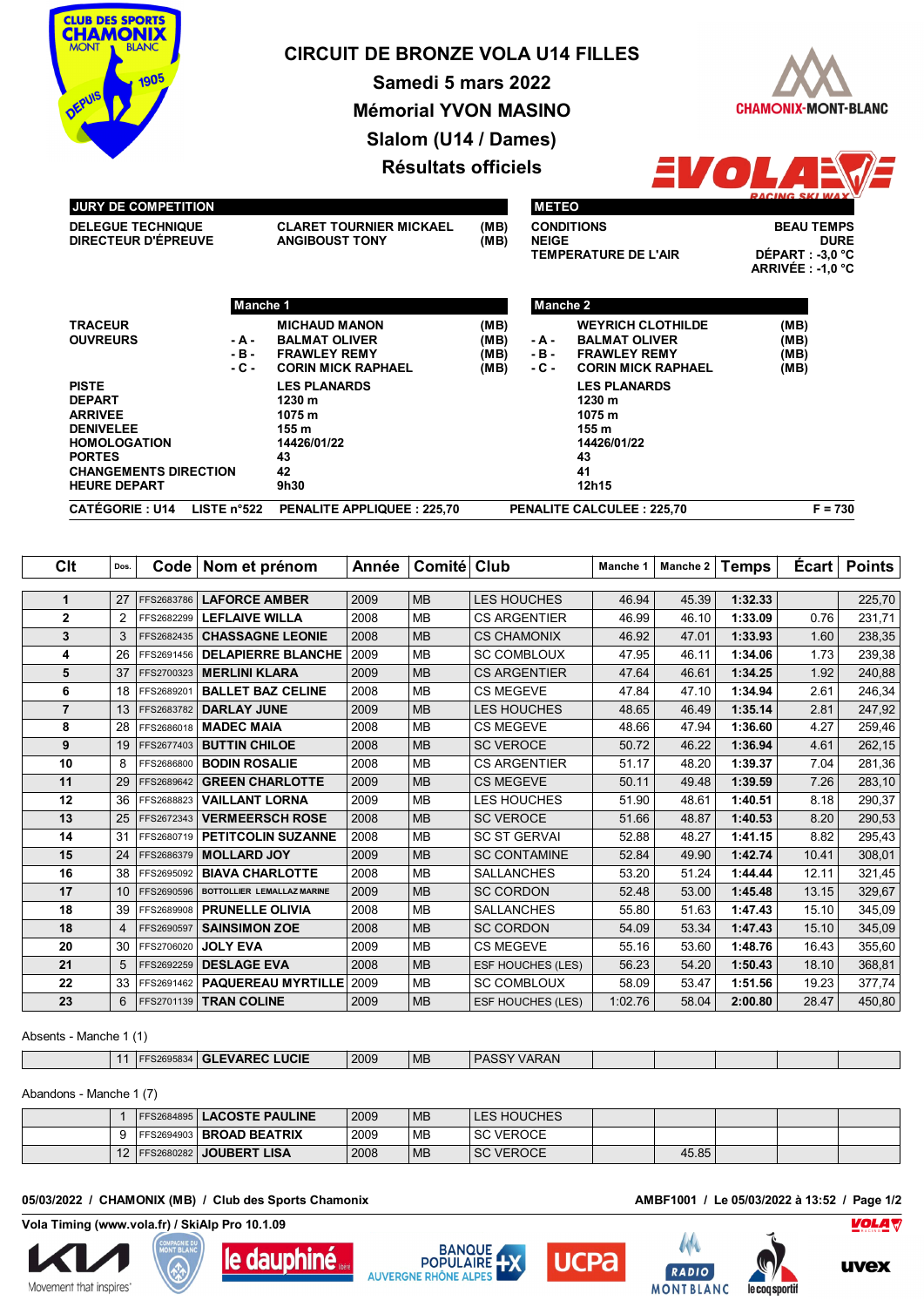

# **CIRCUIT DE BRONZE VOLA U14 FILLES**

**Samedi 5 mars 2022**

**CHAMONIX-MONT-BLANC** 

**Mémorial YVON MASINO Slalom (U14 / Dames)**

**Résultats officiels**



## **JURY DE COMPETITION**

| I VYN I PE VYMI ETINYN                                 |                                                         |              |
|--------------------------------------------------------|---------------------------------------------------------|--------------|
| <b>DELEGUE TECHNIQUE</b><br><b>DIRECTEUR D'ÉPREUVE</b> | <b>CLARET TOURNIER MICKAEL</b><br><b>ANGIBOUST TONY</b> | (MB)<br>(MB) |
|                                                        |                                                         |              |

| <b>METEO</b>         |                                                                                                                                     |
|----------------------|-------------------------------------------------------------------------------------------------------------------------------------|
| <b>CONDITIONS</b>    | <b>BEAU TEMPS</b>                                                                                                                   |
| <b>NEIGE</b>         | <b>DURF</b>                                                                                                                         |
| TEMPERATURE DE L'AIR | DÉPART : -3,0 °C<br>the contract of the contract of the contract of the contract of the contract of the contract of the contract of |

**CAU TEMPS NEIGE DURE ARRIVÉE : -1,0 °C**

|                                                                                                                                                                    | Manche 1                |                                                                                                  |                              | Manche 2                 |                                                                                                      |                              |
|--------------------------------------------------------------------------------------------------------------------------------------------------------------------|-------------------------|--------------------------------------------------------------------------------------------------|------------------------------|--------------------------|------------------------------------------------------------------------------------------------------|------------------------------|
| <b>TRACEUR</b><br><b>OUVREURS</b>                                                                                                                                  | - A -<br>- B -<br>- C - | <b>MICHAUD MANON</b><br><b>BALMAT OLIVER</b><br><b>FRAWLEY REMY</b><br><b>CORIN MICK RAPHAEL</b> | (MB)<br>(MB)<br>(MB)<br>(MB) | - A -<br>$-B -$<br>- C - | <b>WEYRICH CLOTHILDE</b><br><b>BALMAT OLIVER</b><br><b>FRAWLEY REMY</b><br><b>CORIN MICK RAPHAEL</b> | (MB)<br>(MB)<br>(MB)<br>(MB) |
| <b>PISTE</b><br><b>DEPART</b><br><b>ARRIVEE</b><br><b>DENIVELEE</b><br><b>HOMOLOGATION</b><br><b>PORTES</b><br><b>CHANGEMENTS DIRECTION</b><br><b>HEURE DEPART</b> |                         | <b>LES PLANARDS</b><br>1230 m<br>1075 m<br>155 m<br>14426/01/22<br>43<br>42<br>9h30              |                              |                          | <b>LES PLANARDS</b><br>1230 m<br>1075 m<br>155 m<br>14426/01/22<br>43<br>41<br>12h15                 |                              |
| <b>CATÉGORIE: U14</b>                                                                                                                                              | LISTE $n^{\circ}522$    | PENALITE APPLIQUEE: 225,70                                                                       |                              |                          | <b>PENALITE CALCULEE: 225.70</b>                                                                     | $F = 730$                    |

| Clt            | Dos.           | Code       | Nom et prénom              | Année | <b>Comité</b> | Club                     | Manche 1 | Manche 2 | <b>Temps</b> | Ecart | <b>Points</b> |
|----------------|----------------|------------|----------------------------|-------|---------------|--------------------------|----------|----------|--------------|-------|---------------|
|                |                |            |                            |       |               |                          |          |          |              |       |               |
| 1              | 27             | FFS2683786 | <b>LAFORCE AMBER</b>       | 2009  | <b>MB</b>     | <b>LES HOUCHES</b>       | 46.94    | 45.39    | 1:32.33      |       | 225,70        |
| $\overline{2}$ | $\overline{2}$ | FFS2682299 | <b>LEFLAIVE WILLA</b>      | 2008  | <b>MB</b>     | <b>CS ARGENTIER</b>      | 46.99    | 46.10    | 1:33.09      | 0.76  | 231,71        |
| 3              | 3              | FFS2682435 | <b>CHASSAGNE LEONIE</b>    | 2008  | <b>MB</b>     | <b>CS CHAMONIX</b>       | 46.92    | 47.01    | 1:33.93      | 1.60  | 238,35        |
| 4              | 26             | FFS2691456 | <b>DELAPIERRE BLANCHE</b>  | 2009  | <b>MB</b>     | <b>SC COMBLOUX</b>       | 47.95    | 46.11    | 1:34.06      | 1.73  | 239,38        |
| 5              | 37             | FFS2700323 | <b>MERLINI KLARA</b>       | 2009  | <b>MB</b>     | <b>CS ARGENTIER</b>      | 47.64    | 46.61    | 1:34.25      | 1.92  | 240,88        |
| 6              | 18             | FFS2689201 | <b>BALLET BAZ CELINE</b>   | 2008  | <b>MB</b>     | <b>CS MEGEVE</b>         | 47.84    | 47.10    | 1:34.94      | 2.61  | 246,34        |
| $\overline{7}$ | 13             | FFS2683782 | <b>DARLAY JUNE</b>         | 2009  | <b>MB</b>     | <b>LES HOUCHES</b>       | 48.65    | 46.49    | 1:35.14      | 2.81  | 247,92        |
| 8              | 28             | FFS2686018 | <b>MADEC MAIA</b>          | 2008  | <b>MB</b>     | <b>CS MEGEVE</b>         | 48.66    | 47.94    | 1:36.60      | 4.27  | 259,46        |
| 9              | 19             | FFS2677403 | <b>BUTTIN CHILOE</b>       | 2008  | <b>MB</b>     | <b>SC VEROCE</b>         | 50.72    | 46.22    | 1:36.94      | 4.61  | 262,15        |
| 10             | 8              | FFS2686800 | <b>BODIN ROSALIE</b>       | 2008  | <b>MB</b>     | <b>CS ARGENTIER</b>      | 51.17    | 48.20    | 1:39.37      | 7.04  | 281,36        |
| 11             | 29             | FFS2689642 | <b>GREEN CHARLOTTE</b>     | 2009  | <b>MB</b>     | <b>CS MEGEVE</b>         | 50.11    | 49.48    | 1:39.59      | 7.26  | 283,10        |
| 12             | 36             | FFS2688823 | <b>VAILLANT LORNA</b>      | 2009  | <b>MB</b>     | LES HOUCHES              | 51.90    | 48.61    | 1:40.51      | 8.18  | 290,37        |
| 13             | 25             | FFS2672343 | <b>VERMEERSCH ROSE</b>     | 2008  | <b>MB</b>     | <b>SC VEROCE</b>         | 51.66    | 48.87    | 1:40.53      | 8.20  | 290,53        |
| 14             | 31             | FFS2680719 | <b>PETITCOLIN SUZANNE</b>  | 2008  | <b>MB</b>     | <b>SC ST GERVAL</b>      | 52.88    | 48.27    | 1:41.15      | 8.82  | 295,43        |
| 15             | 24             | FFS2686379 | <b>MOLLARD JOY</b>         | 2009  | <b>MB</b>     | <b>SC CONTAMINE</b>      | 52.84    | 49.90    | 1:42.74      | 10.41 | 308,01        |
| 16             | 38             | FFS2695092 | <b>BIAVA CHARLOTTE</b>     | 2008  | <b>MB</b>     | <b>SALLANCHES</b>        | 53.20    | 51.24    | 1:44.44      | 12.11 | 321,45        |
| 17             | 10             | FFS2690596 | BOTTOLLIER LEMALLAZ MARINE | 2009  | <b>MB</b>     | <b>SC CORDON</b>         | 52.48    | 53.00    | 1:45.48      | 13.15 | 329,67        |
| 18             | 39             | FFS2689908 | <b>PRUNELLE OLIVIA</b>     | 2008  | <b>MB</b>     | <b>SALLANCHES</b>        | 55.80    | 51.63    | 1:47.43      | 15.10 | 345,09        |
| 18             | $\overline{4}$ | FFS2690597 | <b>SAINSIMON ZOE</b>       | 2008  | <b>MB</b>     | <b>SC CORDON</b>         | 54.09    | 53.34    | 1:47.43      | 15.10 | 345,09        |
| 20             | 30             | FFS2706020 | <b>JOLY EVA</b>            | 2009  | <b>MB</b>     | <b>CS MEGEVE</b>         | 55.16    | 53.60    | 1:48.76      | 16.43 | 355,60        |
| 21             | 5              | FFS2692259 | <b>DESLAGE EVA</b>         | 2008  | <b>MB</b>     | <b>ESF HOUCHES (LES)</b> | 56.23    | 54.20    | 1:50.43      | 18.10 | 368,81        |
| 22             | 33             | FFS2691462 | <b>PAQUEREAU MYRTILLE</b>  | 2009  | <b>MB</b>     | <b>SC COMBLOUX</b>       | 58.09    | 53.47    | 1:51.56      | 19.23 | 377,74        |
| 23             | 6              | FFS2701139 | <b>TRAN COLINE</b>         | 2009  | <b>MB</b>     | <b>ESF HOUCHES (LES)</b> | 1:02.76  | 58.04    | 2:00.80      | 28.47 | 450,80        |

Absents - Manche 1 (1)

Г

|  | <b>UCIE</b><br>the contract of the contract of the contract of the contract of the contract of the contract of the contract of | 2009 | <b>ME</b> | VARAN<br>. |  |  |  |
|--|--------------------------------------------------------------------------------------------------------------------------------|------|-----------|------------|--|--|--|
|  |                                                                                                                                |      |           |            |  |  |  |

Abandons - Manche 1 (7)

|            | <b>FFS2684895   LACOSTE PAULINE</b>      | 2009 | <b>MB</b> | <b>LES HOUCHES</b> |       |  |  |
|------------|------------------------------------------|------|-----------|--------------------|-------|--|--|
|            | <b>FFS2694903 BROAD BEATRIX</b>          | 2009 | <b>MB</b> | <b>SC VEROCE</b>   |       |  |  |
| $\sqrt{2}$ | <b>LISA</b><br><b>FFS2680282 JOUBERT</b> | 2008 | <b>MB</b> | <b>SC VEROCE</b>   | 45.85 |  |  |

## **05/03/2022 / CHAMONIX (MB) / Club des Sports Chamonix AMBF1001 / Le 05/03/2022 à 13:52 / Page 1/2**

**Vola Timing (www.vola.fr) / SkiAlp Pro 10.1.09**











le coq sportif

AMA

RADIO

**MONTBLANC** 



**UVex**